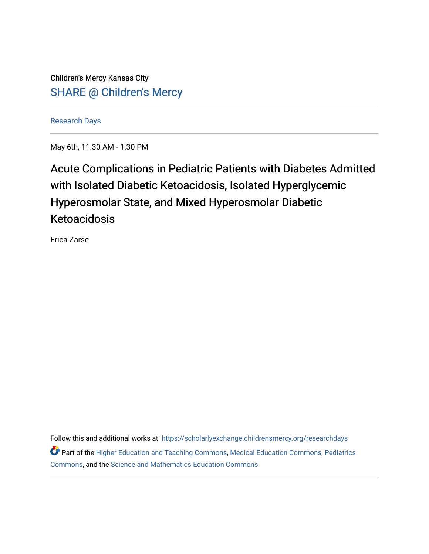Children's Mercy Kansas City SHARE @ Children's Mercy

[Research Days](https://scholarlyexchange.childrensmercy.org/researchdays)

May 6th, 11:30 AM - 1:30 PM

# Acute Complications in Pediatric Patients with Diabetes Admitted with Isolated Diabetic Ketoacidosis, Isolated Hyperglycemic Hyperosmolar State, and Mixed Hyperosmolar Diabetic Ketoacidosis

Erica Zarse

Follow this and additional works at: [https://scholarlyexchange.childrensmercy.org/researchdays](https://scholarlyexchange.childrensmercy.org/researchdays?utm_source=scholarlyexchange.childrensmercy.org%2Fresearchdays%2FGME_Research_Days_2021%2Fresearchday1%2F1&utm_medium=PDF&utm_campaign=PDFCoverPages)  Part of the [Higher Education and Teaching Commons](http://network.bepress.com/hgg/discipline/806?utm_source=scholarlyexchange.childrensmercy.org%2Fresearchdays%2FGME_Research_Days_2021%2Fresearchday1%2F1&utm_medium=PDF&utm_campaign=PDFCoverPages), [Medical Education Commons](http://network.bepress.com/hgg/discipline/1125?utm_source=scholarlyexchange.childrensmercy.org%2Fresearchdays%2FGME_Research_Days_2021%2Fresearchday1%2F1&utm_medium=PDF&utm_campaign=PDFCoverPages), [Pediatrics](http://network.bepress.com/hgg/discipline/700?utm_source=scholarlyexchange.childrensmercy.org%2Fresearchdays%2FGME_Research_Days_2021%2Fresearchday1%2F1&utm_medium=PDF&utm_campaign=PDFCoverPages)  [Commons](http://network.bepress.com/hgg/discipline/700?utm_source=scholarlyexchange.childrensmercy.org%2Fresearchdays%2FGME_Research_Days_2021%2Fresearchday1%2F1&utm_medium=PDF&utm_campaign=PDFCoverPages), and the [Science and Mathematics Education Commons](http://network.bepress.com/hgg/discipline/800?utm_source=scholarlyexchange.childrensmercy.org%2Fresearchdays%2FGME_Research_Days_2021%2Fresearchday1%2F1&utm_medium=PDF&utm_campaign=PDFCoverPages)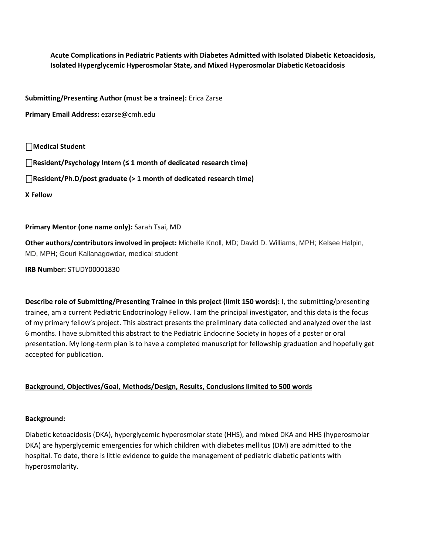**Acute Complications in Pediatric Patients with Diabetes Admitted with Isolated Diabetic Ketoacidosis, Isolated Hyperglycemic Hyperosmolar State, and Mixed Hyperosmolar Diabetic Ketoacidosis**

**Submitting/Presenting Author (must be a trainee):** Erica Zarse

**Primary Email Address:** ezarse@cmh.edu

# ⎕**Medical Student**

⎕**Resident/Psychology Intern (≤ 1 month of dedicated research time)** 

⎕**Resident/Ph.D/post graduate (> 1 month of dedicated research time)**

**X Fellow** 

## **Primary Mentor (one name only):** Sarah Tsai, MD

**Other authors/contributors involved in project:** Michelle Knoll, MD; David D. Williams, MPH; Kelsee Halpin, MD, MPH; Gouri Kallanagowdar, medical student

**IRB Number:** STUDY00001830

**Describe role of Submitting/Presenting Trainee in this project (limit 150 words):** I, the submitting/presenting trainee, am a current Pediatric Endocrinology Fellow. I am the principal investigator, and this data is the focus of my primary fellow's project. This abstract presents the preliminary data collected and analyzed over the last 6 months. I have submitted this abstract to the Pediatric Endocrine Society in hopes of a poster or oral presentation. My long-term plan is to have a completed manuscript for fellowship graduation and hopefully get accepted for publication.

# **Background, Objectives/Goal, Methods/Design, Results, Conclusions limited to 500 words**

## **Background:**

Diabetic ketoacidosis (DKA), hyperglycemic hyperosmolar state (HHS), and mixed DKA and HHS (hyperosmolar DKA) are hyperglycemic emergencies for which children with diabetes mellitus (DM) are admitted to the hospital. To date, there is little evidence to guide the management of pediatric diabetic patients with hyperosmolarity.